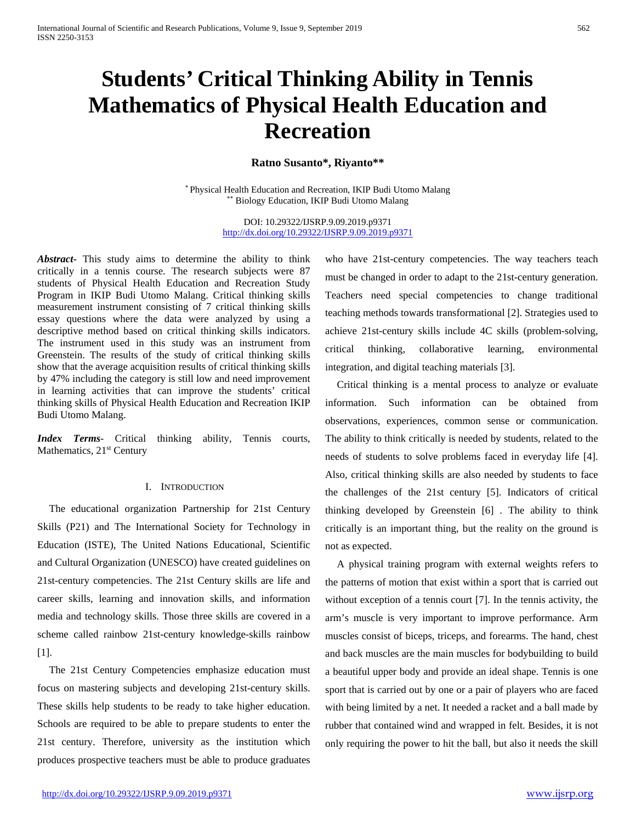# **Students' Critical Thinking Ability in Tennis Mathematics of Physical Health Education and Recreation**

**Ratno Susanto\*, Riyanto\*\***

\* Physical Health Education and Recreation, IKIP Budi Utomo Malang \*\* Biology Education, IKIP Budi Utomo Malang

> DOI: 10.29322/IJSRP.9.09.2019.p9371 <http://dx.doi.org/10.29322/IJSRP.9.09.2019.p9371>

*Abstract***-** This study aims to determine the ability to think critically in a tennis course. The research subjects were 87 students of Physical Health Education and Recreation Study Program in IKIP Budi Utomo Malang. Critical thinking skills measurement instrument consisting of 7 critical thinking skills essay questions where the data were analyzed by using a descriptive method based on critical thinking skills indicators. The instrument used in this study was an instrument from Greenstein. The results of the study of critical thinking skills show that the average acquisition results of critical thinking skills by 47% including the category is still low and need improvement in learning activities that can improve the students' critical thinking skills of Physical Health Education and Recreation IKIP Budi Utomo Malang.

*Index Terms*- Critical thinking ability, Tennis courts, Mathematics, 21<sup>st</sup> Century

#### I. INTRODUCTION

The educational organization Partnership for 21st Century Skills (P21) and The International Society for Technology in Education (ISTE), The United Nations Educational, Scientific and Cultural Organization (UNESCO) have created guidelines on 21st-century competencies. The 21st Century skills are life and career skills, learning and innovation skills, and information media and technology skills. Those three skills are covered in a scheme called rainbow 21st-century knowledge-skills rainbow [1].

The 21st Century Competencies emphasize education must focus on mastering subjects and developing 21st-century skills. These skills help students to be ready to take higher education. Schools are required to be able to prepare students to enter the 21st century. Therefore, university as the institution which produces prospective teachers must be able to produce graduates

who have 21st-century competencies. The way teachers teach must be changed in order to adapt to the 21st-century generation. Teachers need special competencies to change traditional teaching methods towards transformational [2]. Strategies used to achieve 21st-century skills include 4C skills (problem-solving, critical thinking, collaborative learning, environmental integration, and digital teaching materials [3].

Critical thinking is a mental process to analyze or evaluate information. Such information can be obtained from observations, experiences, common sense or communication. The ability to think critically is needed by students, related to the needs of students to solve problems faced in everyday life [4]. Also, critical thinking skills are also needed by students to face the challenges of the 21st century [5]. Indicators of critical thinking developed by Greenstein [6] . The ability to think critically is an important thing, but the reality on the ground is not as expected.

A physical training program with external weights refers to the patterns of motion that exist within a sport that is carried out without exception of a tennis court [7]. In the tennis activity, the arm's muscle is very important to improve performance. Arm muscles consist of biceps, triceps, and forearms. The hand, chest and back muscles are the main muscles for bodybuilding to build a beautiful upper body and provide an ideal shape. Tennis is one sport that is carried out by one or a pair of players who are faced with being limited by a net. It needed a racket and a ball made by rubber that contained wind and wrapped in felt. Besides, it is not only requiring the power to hit the ball, but also it needs the skill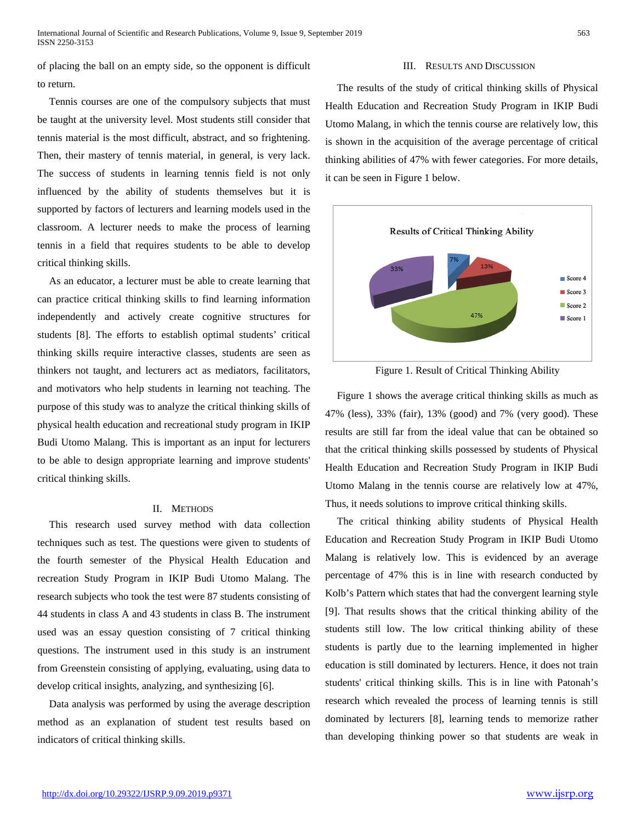of placing the ball on an empty side, so the opponent is difficult to return.

Tennis courses are one of the compulsory subjects that must be taught at the university level. Most students still consider that tennis material is the most difficult, abstract, and so frightening. Then, their mastery of tennis material, in general, is very lack. The success of students in learning tennis field is not only influenced by the ability of students themselves but it is supported by factors of lecturers and learning models used in the classroom. A lecturer needs to make the process of learning tennis in a field that requires students to be able to develop critical thinking skills.

As an educator, a lecturer must be able to create learning that can practice critical thinking skills to find learning information independently and actively create cognitive structures for students [8]. The efforts to establish optimal students' critical thinking skills require interactive classes, students are seen as thinkers not taught, and lecturers act as mediators, facilitators, and motivators who help students in learning not teaching. The purpose of this study was to analyze the critical thinking skills of physical health education and recreational study program in IKIP Budi Utomo Malang. This is important as an input for lecturers to be able to design appropriate learning and improve students' critical thinking skills.

# II. METHODS

This research used survey method with data collection techniques such as test. The questions were given to students of the fourth semester of the Physical Health Education and recreation Study Program in IKIP Budi Utomo Malang. The research subjects who took the test were 87 students consisting of 44 students in class A and 43 students in class B. The instrument used was an essay question consisting of 7 critical thinking questions. The instrument used in this study is an instrument from Greenstein consisting of applying, evaluating, using data to develop critical insights, analyzing, and synthesizing [6].

Data analysis was performed by using the average description method as an explanation of student test results based on indicators of critical thinking skills.

## III. RESULTS AND DISCUSSION

The results of the study of critical thinking skills of Physical Health Education and Recreation Study Program in IKIP Budi Utomo Malang, in which the tennis course are relatively low, this is shown in the acquisition of the average percentage of critical thinking abilities of 47% with fewer categories. For more details, it can be seen in Figure 1 below.



Figure 1. Result of Critical Thinking Ability

Figure 1 shows the average critical thinking skills as much as 47% (less), 33% (fair), 13% (good) and 7% (very good). These results are still far from the ideal value that can be obtained so that the critical thinking skills possessed by students of Physical Health Education and Recreation Study Program in IKIP Budi Utomo Malang in the tennis course are relatively low at 47%, Thus, it needs solutions to improve critical thinking skills.

The critical thinking ability students of Physical Health Education and Recreation Study Program in IKIP Budi Utomo Malang is relatively low. This is evidenced by an average percentage of 47% this is in line with research conducted by Kolb's Pattern which states that had the convergent learning style [9]. That results shows that the critical thinking ability of the students still low. The low critical thinking ability of these students is partly due to the learning implemented in higher education is still dominated by lecturers. Hence, it does not train students' critical thinking skills. This is in line with Patonah's research which revealed the process of learning tennis is still dominated by lecturers [8], learning tends to memorize rather than developing thinking power so that students are weak in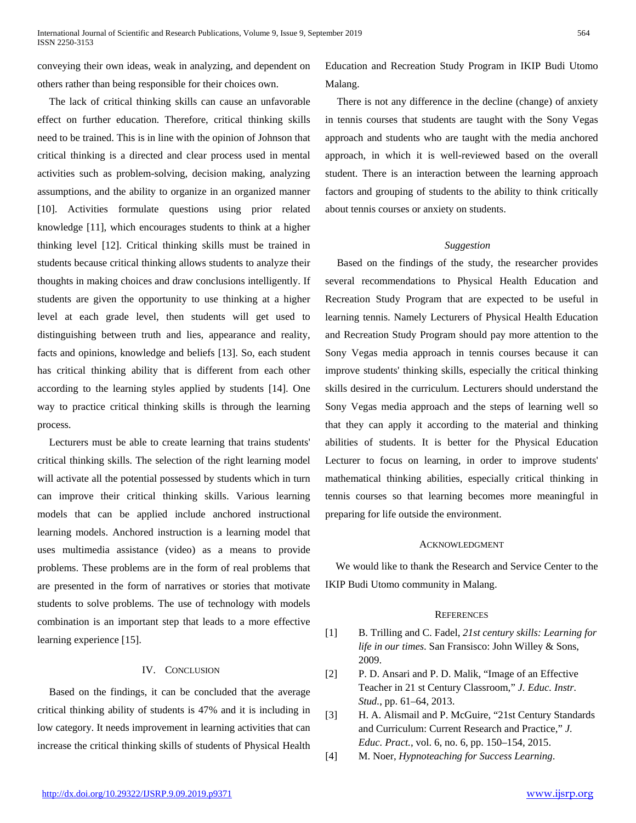conveying their own ideas, weak in analyzing, and dependent on others rather than being responsible for their choices own.

The lack of critical thinking skills can cause an unfavorable effect on further education. Therefore, critical thinking skills need to be trained. This is in line with the opinion of Johnson that critical thinking is a directed and clear process used in mental activities such as problem-solving, decision making, analyzing assumptions, and the ability to organize in an organized manner [10]. Activities formulate questions using prior related knowledge [11], which encourages students to think at a higher thinking level [12]. Critical thinking skills must be trained in students because critical thinking allows students to analyze their thoughts in making choices and draw conclusions intelligently. If students are given the opportunity to use thinking at a higher level at each grade level, then students will get used to distinguishing between truth and lies, appearance and reality, facts and opinions, knowledge and beliefs [13]. So, each student has critical thinking ability that is different from each other according to the learning styles applied by students [14]. One way to practice critical thinking skills is through the learning process.

Lecturers must be able to create learning that trains students' critical thinking skills. The selection of the right learning model will activate all the potential possessed by students which in turn can improve their critical thinking skills. Various learning models that can be applied include anchored instructional learning models. Anchored instruction is a learning model that uses multimedia assistance (video) as a means to provide problems. These problems are in the form of real problems that are presented in the form of narratives or stories that motivate students to solve problems. The use of technology with models combination is an important step that leads to a more effective learning experience [15].

## IV. CONCLUSION

Based on the findings, it can be concluded that the average critical thinking ability of students is 47% and it is including in low category. It needs improvement in learning activities that can increase the critical thinking skills of students of Physical Health

Education and Recreation Study Program in IKIP Budi Utomo Malang.

There is not any difference in the decline (change) of anxiety in tennis courses that students are taught with the Sony Vegas approach and students who are taught with the media anchored approach, in which it is well-reviewed based on the overall student. There is an interaction between the learning approach factors and grouping of students to the ability to think critically about tennis courses or anxiety on students.

#### *Suggestion*

Based on the findings of the study, the researcher provides several recommendations to Physical Health Education and Recreation Study Program that are expected to be useful in learning tennis. Namely Lecturers of Physical Health Education and Recreation Study Program should pay more attention to the Sony Vegas media approach in tennis courses because it can improve students' thinking skills, especially the critical thinking skills desired in the curriculum. Lecturers should understand the Sony Vegas media approach and the steps of learning well so that they can apply it according to the material and thinking abilities of students. It is better for the Physical Education Lecturer to focus on learning, in order to improve students' mathematical thinking abilities, especially critical thinking in tennis courses so that learning becomes more meaningful in preparing for life outside the environment.

#### ACKNOWLEDGMENT

We would like to thank the Research and Service Center to the IKIP Budi Utomo community in Malang.

#### **REFERENCES**

- [1] B. Trilling and C. Fadel, *21st century skills: Learning for life in our times*. San Fransisco: John Willey & Sons, 2009.
- [2] P. D. Ansari and P. D. Malik, "Image of an Effective Teacher in 21 st Century Classroom," *J. Educ. Instr. Stud.*, pp. 61–64, 2013.
- [3] H. A. Alismail and P. McGuire, "21st Century Standards and Curriculum: Current Research and Practice," *J. Educ. Pract.*, vol. 6, no. 6, pp. 150–154, 2015.
- [4] M. Noer, *Hypnoteaching for Success Learning*.